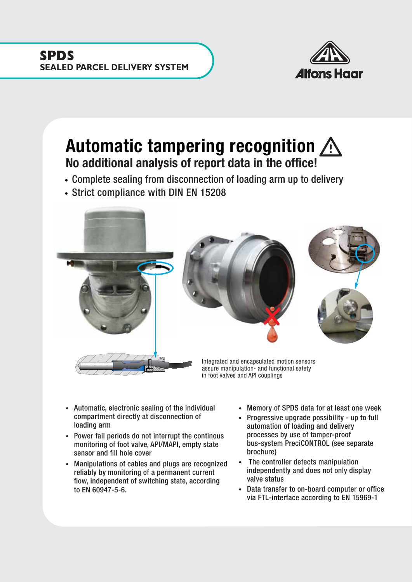

## Automatic tampering recognition  $\bigwedge$ No additional analysis of report data in the office!

- Complete sealing from disconnection of loading arm up to delivery
- Strict compliance with DIN EN 15208



- Automatic, electronic sealing of the individual compartment directly at disconnection of loading arm
- Power fail periods do not interrupt the continous monitoring of foot valve, API/MAPI, empty state sensor and fill hole cover
- Manipulations of cables and plugs are recognized reliably by monitoring of a permanent current flow, independent of switching state, according to EN 60947-5-6.
- Memory of SPDS data for at least one week
- Progressive upgrade possibility up to full automation of loading and delivery processes by use of tamper-proof bus-system PreciCONTROL (see separate brochure)
- The controller detects manipulation independently and does not only display valve status
- Data transfer to on-board computer or office via FTL-interface according to EN 15969-1